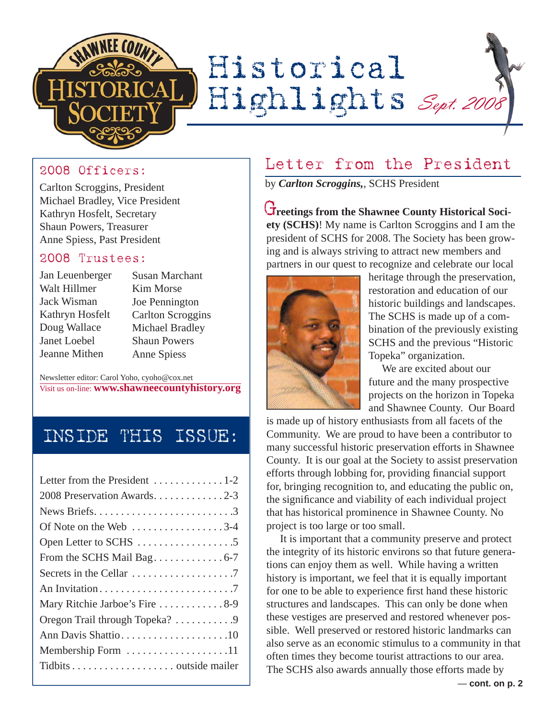

### 2008 Officers:

Carlton Scroggins, President Michael Bradley, Vice President Kathryn Hosfelt, Secretary Shaun Powers, Treasurer Anne Spiess, Past President

#### 2008 Trustees:

| Jan Leuenberger |
|-----------------|
| Walt Hillmer    |
| Jack Wisman     |
| Kathryn Hosfelt |
| Doug Wallace    |
| Janet Loebel    |
| Jeanne Mithen   |

Susan Marchant Kim Morse Joe Pennington Carlton Scroggins Michael Bradley Shaun Powers Anne Spiess

Newsletter editor: Carol Yoho, cyoho@cox.net Visit us on-line: **www.shawneecountyhistory.org**

# INSIDE THIS ISSUE:

| Letter from the President 1-2                                 |
|---------------------------------------------------------------|
| 2008 Preservation Awards2-3                                   |
|                                                               |
| Of Note on the Web $\dots \dots \dots \dots \dots \dots 3-4$  |
|                                                               |
| From the SCHS Mail Bag. 6-7                                   |
| Secrets in the Cellar $\dots \dots \dots \dots \dots \dots$ . |
|                                                               |
| Mary Ritchie Jarboe's Fire 8-9                                |
| Oregon Trail through Topeka? 9                                |
| Ann Davis Shattio10                                           |
| Membership Form 11                                            |
|                                                               |
|                                                               |

## Letter from the President

by *Carlton Scroggins,*, SCHS President

**Creetings from the Shawnee County Historical Society (SCHS)**! My name is Carlton Scroggins and I am the president of SCHS for 2008. The Society has been growing and is always striving to attract new members and partners in our quest to recognize and celebrate our local



heritage through the preservation, restoration and education of our historic buildings and landscapes. The SCHS is made up of a combination of the previously existing SCHS and the previous "Historic Topeka" organization.

 We are excited about our future and the many prospective projects on the horizon in Topeka and Shawnee County. Our Board

is made up of history enthusiasts from all facets of the Community. We are proud to have been a contributor to many successful historic preservation efforts in Shawnee County. It is our goal at the Society to assist preservation efforts through lobbing for, providing financial support for, bringing recognition to, and educating the public on, the significance and viability of each individual project that has historical prominence in Shawnee County. No project is too large or too small.

 It is important that a community preserve and protect the integrity of its historic environs so that future generations can enjoy them as well. While having a written history is important, we feel that it is equally important for one to be able to experience first hand these historic structures and landscapes. This can only be done when these vestiges are preserved and restored whenever possible. Well preserved or restored historic landmarks can also serve as an economic stimulus to a community in that often times they become tourist attractions to our area. The SCHS also awards annually those efforts made by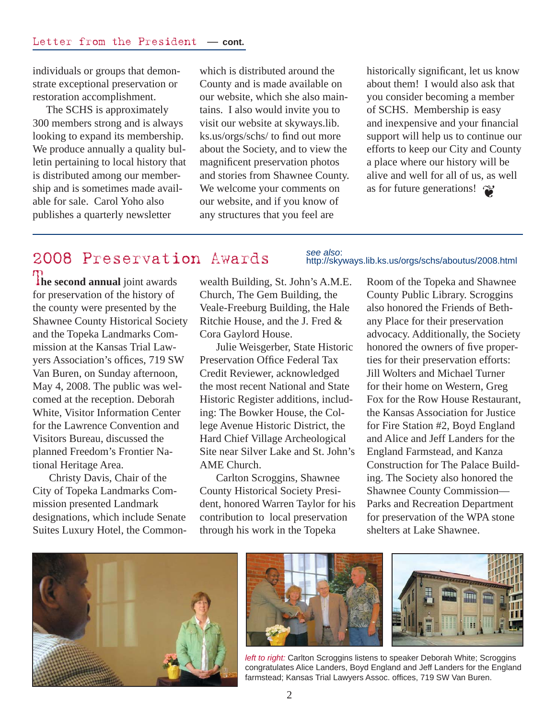individuals or groups that demonstrate exceptional preservation or restoration accomplishment.

 The SCHS is approximately 300 members strong and is always looking to expand its membership. We produce annually a quality bulletin pertaining to local history that is distributed among our membership and is sometimes made available for sale. Carol Yoho also publishes a quarterly newsletter

which is distributed around the County and is made available on our website, which she also maintains. I also would invite you to visit our website at skyways.lib. ks.us/orgs/schs/ to find out more about the Society, and to view the magnificent preservation photos and stories from Shawnee County. We welcome your comments on our website, and if you know of any structures that you feel are

as for future generations!  $\bullet$ historically significant, let us know about them! I would also ask that you consider becoming a member of SCHS. Membership is easy and inexpensive and your financial support will help us to continue our efforts to keep our City and County a place where our history will be alive and well for all of us, as well

# 2008 Preservation Awards

**The second annual** joint awards for preservation of the history of the county were presented by the Shawnee County Historical Society and the Topeka Landmarks Commission at the Kansas Trial Lawyers Association's offices, 719 SW Van Buren, on Sunday afternoon, May 4, 2008. The public was welcomed at the reception. Deborah White, Visitor Information Center for the Lawrence Convention and Visitors Bureau, discussed the planned Freedom's Frontier National Heritage Area.

Christy Davis, Chair of the City of Topeka Landmarks Commission presented Landmark designations, which include Senate Suites Luxury Hotel, the Commonwealth Building, St. John's A.M.E. Church, The Gem Building, the Veale-Freeburg Building, the Hale Ritchie House, and the J. Fred & Cora Gaylord House.

Julie Weisgerber, State Historic Preservation Office Federal Tax Credit Reviewer, acknowledged the most recent National and State Historic Register additions, including: The Bowker House, the College Avenue Historic District, the Hard Chief Village Archeological Site near Silver Lake and St. John's AME Church.

Carlton Scroggins, Shawnee County Historical Society President, honored Warren Taylor for his contribution to local preservation through his work in the Topeka

#### *see also*: http://skyways.lib.ks.us/orgs/schs/aboutus/2008.html

Room of the Topeka and Shawnee County Public Library. Scroggins also honored the Friends of Bethany Place for their preservation advocacy. Additionally, the Society honored the owners of five properties for their preservation efforts: Jill Wolters and Michael Turner for their home on Western, Greg Fox for the Row House Restaurant, the Kansas Association for Justice for Fire Station #2, Boyd England and Alice and Jeff Landers for the England Farmstead, and Kanza Construction for The Palace Building. The Society also honored the Shawnee County Commission— Parks and Recreation Department for preservation of the WPA stone shelters at Lake Shawnee.







*left to right:* Carlton Scroggins listens to speaker Deborah White; Scroggins congratulates Alice Landers, Boyd England and Jeff Landers for the England farmstead; Kansas Trial Lawyers Assoc. offices, 719 SW Van Buren.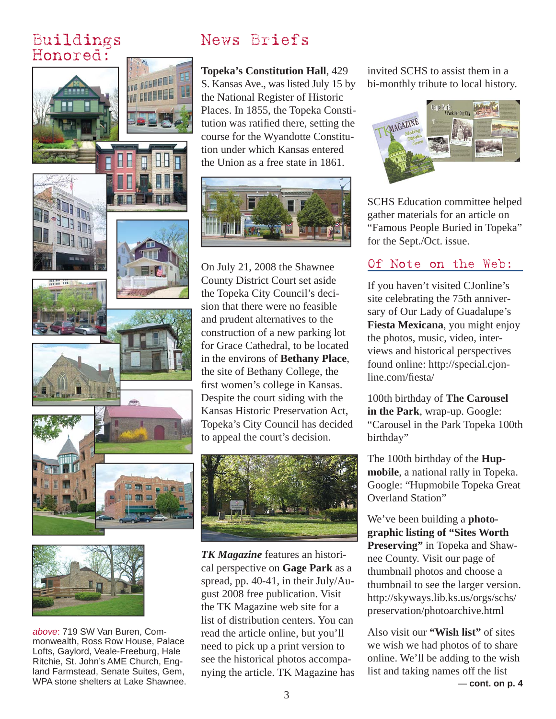### Buildings Honored:





*above*: 719 SW Van Buren, Commonwealth, Ross Row House, Palace Lofts, Gaylord, Veale-Freeburg, Hale Ritchie, St. John's AME Church, England Farmstead, Senate Suites, Gem, WPA stone shelters at Lake Shawnee.

# News Briefs

**Topeka's Constitution Hall**, 429 S. Kansas Ave., was listed July 15 by the National Register of Historic Places. In 1855, the Topeka Constitution was ratified there, setting the course for the Wyandotte Constitution under which Kansas entered the Union as a free state in 1861.



On July 21, 2008 the Shawnee County District Court set aside the Topeka City Council's decision that there were no feasible and prudent alternatives to the construction of a new parking lot for Grace Cathedral, to be located in the environs of **Bethany Place**, the site of Bethany College, the first women's college in Kansas. Despite the court siding with the Kansas Historic Preservation Act, Topeka's City Council has decided to appeal the court's decision.



*TK Magazine* features an historical perspective on **Gage Park** as a spread, pp. 40-41, in their July/August 2008 free publication. Visit the TK Magazine web site for a list of distribution centers. You can read the article online, but you'll need to pick up a print version to see the historical photos accompanying the article. TK Magazine has

invited SCHS to assist them in a bi-monthly tribute to local history.



SCHS Education committee helped gather materials for an article on "Famous People Buried in Topeka" for the Sept./Oct. issue.

### Of Note on the Web:

If you haven't visited CJonline's site celebrating the 75th anniversary of Our Lady of Guadalupe's **Fiesta Mexicana**, you might enjoy the photos, music, video, interviews and historical perspectives found online: http://special.cjonline.com/fiesta/

100th birthday of **The Carousel in the Park**, wrap-up. Google: "Carousel in the Park Topeka 100th birthday"

The 100th birthday of the **Hupmobile**, a national rally in Topeka. Google: "Hupmobile Topeka Great Overland Station"

We've been building a **photographic listing of "Sites Worth Preserving"** in Topeka and Shawnee County. Visit our page of thumbnail photos and choose a thumbnail to see the larger version. http://skyways.lib.ks.us/orgs/schs/ preservation/photoarchive.html

Also visit our **"Wish list"** of sites we wish we had photos of to share online. We'll be adding to the wish list and taking names off the list — **cont. on p. 4**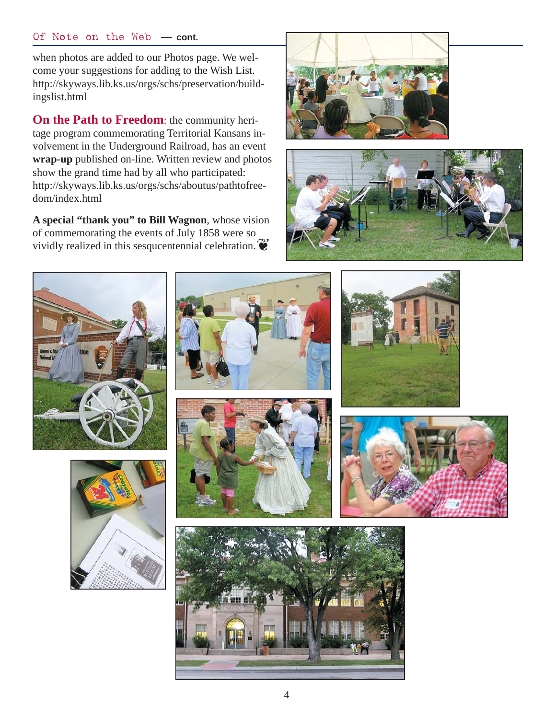#### Of Note on the Web — **cont.**

when photos are added to our Photos page. We welcome your suggestions for adding to the Wish List. http://skyways.lib.ks.us/orgs/schs/preservation/buildingslist.html

**On the Path to Freedom**: the community heritage program commemorating Territorial Kansans involvement in the Underground Railroad, has an event **wrap-up** published on-line. Written review and photos show the grand time had by all who participated: http://skyways.lib.ks.us/orgs/schs/aboutus/pathtofreedom/index.html

**A special "thank you" to Bill Wagnon**, whose vision of commemorating the events of July 1858 were so vividly realized in this sesqueentennial celebration.  $\bullet$ 

















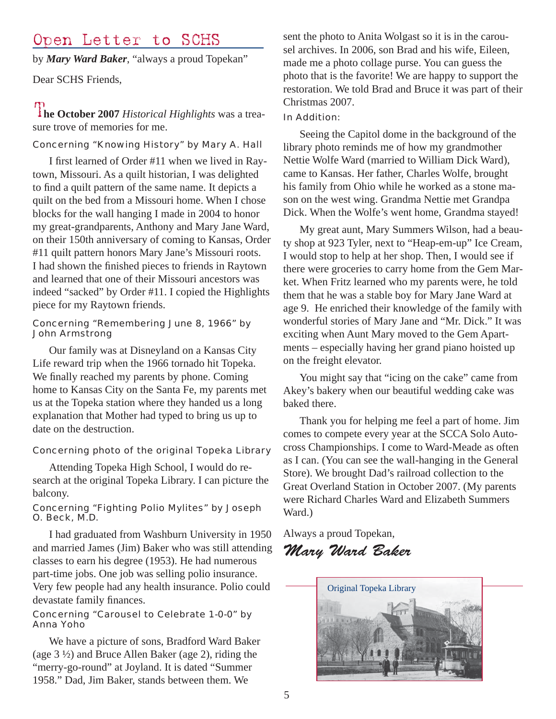### Open Letter to SCHS

by *Mary Ward Baker*, "always a proud Topekan"

Dear SCHS Friends,

**The October 2007** *Historical Highlights* was a treasure trove of memories for me.

#### Concerning "Knowing History" by Mary A. Hall

I first learned of Order #11 when we lived in Raytown, Missouri. As a quilt historian, I was delighted to find a quilt pattern of the same name. It depicts a quilt on the bed from a Missouri home. When I chose blocks for the wall hanging I made in 2004 to honor my great-grandparents, Anthony and Mary Jane Ward, on their 150th anniversary of coming to Kansas, Order #11 quilt pattern honors Mary Jane's Missouri roots. I had shown the finished pieces to friends in Raytown and learned that one of their Missouri ancestors was indeed "sacked" by Order #11. I copied the Highlights piece for my Raytown friends.

#### Concerning "Remembering June 8, 1966" by John Armstrong

Our family was at Disneyland on a Kansas City Life reward trip when the 1966 tornado hit Topeka. We finally reached my parents by phone. Coming home to Kansas City on the Santa Fe, my parents met us at the Topeka station where they handed us a long explanation that Mother had typed to bring us up to date on the destruction.

#### Concerning photo of the original Topeka Library

Attending Topeka High School, I would do research at the original Topeka Library. I can picture the balcony.

#### Concerning "Fighting Polio Mylites" by Joseph O. Beck, M.D.

I had graduated from Washburn University in 1950 and married James (Jim) Baker who was still attending classes to earn his degree (1953). He had numerous part-time jobs. One job was selling polio insurance. Very few people had any health insurance. Polio could devastate family finances.

#### Concerning "Carousel to Celebrate 1-0-0" by Anna Yoho

We have a picture of sons, Bradford Ward Baker (age 3 ½) and Bruce Allen Baker (age 2), riding the "merry-go-round" at Joyland. It is dated "Summer 1958." Dad, Jim Baker, stands between them. We

sent the photo to Anita Wolgast so it is in the carousel archives. In 2006, son Brad and his wife, Eileen, made me a photo collage purse. You can guess the photo that is the favorite! We are happy to support the restoration. We told Brad and Bruce it was part of their Christmas 2007.

#### In Addition:

Seeing the Capitol dome in the background of the library photo reminds me of how my grandmother Nettie Wolfe Ward (married to William Dick Ward), came to Kansas. Her father, Charles Wolfe, brought his family from Ohio while he worked as a stone mason on the west wing. Grandma Nettie met Grandpa Dick. When the Wolfe's went home, Grandma stayed!

My great aunt, Mary Summers Wilson, had a beauty shop at 923 Tyler, next to "Heap-em-up" Ice Cream, I would stop to help at her shop. Then, I would see if there were groceries to carry home from the Gem Market. When Fritz learned who my parents were, he told them that he was a stable boy for Mary Jane Ward at age 9. He enriched their knowledge of the family with wonderful stories of Mary Jane and "Mr. Dick." It was exciting when Aunt Mary moved to the Gem Apartments – especially having her grand piano hoisted up on the freight elevator.

You might say that "icing on the cake" came from Akey's bakery when our beautiful wedding cake was baked there.

Thank you for helping me feel a part of home. Jim comes to compete every year at the SCCA Solo Autocross Championships. I come to Ward-Meade as often as I can. (You can see the wall-hanging in the General Store). We brought Dad's railroad collection to the Great Overland Station in October 2007. (My parents were Richard Charles Ward and Elizabeth Summers Ward.)

Always a proud Topekan,

### Mary Ward Baker

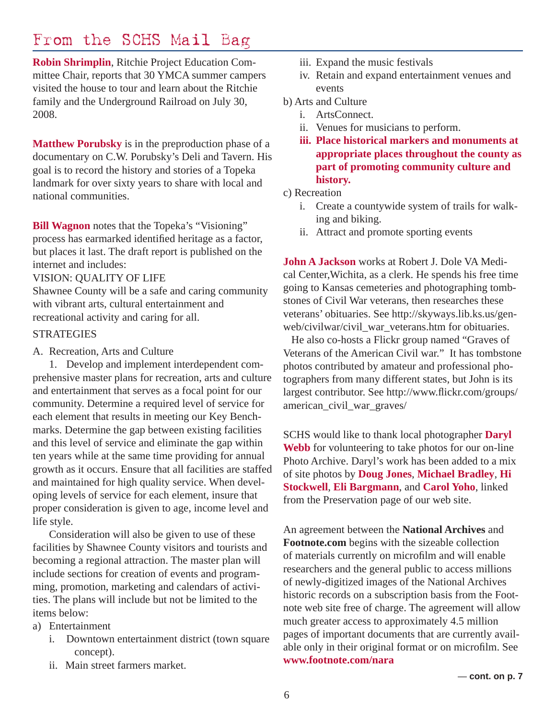## From the SCHS Mail Bag

**Robin Shrimplin**, Ritchie Project Education Committee Chair, reports that 30 YMCA summer campers visited the house to tour and learn about the Ritchie family and the Underground Railroad on July 30, 2008.

**Matthew Porubsky** is in the preproduction phase of a documentary on C.W. Porubsky's Deli and Tavern. His goal is to record the history and stories of a Topeka landmark for over sixty years to share with local and national communities.

**Bill Wagnon** notes that the Topeka's "Visioning" process has earmarked identified heritage as a factor, but places it last. The draft report is published on the internet and includes:

#### VISION: QUALITY OF LIFE

Shawnee County will be a safe and caring community with vibrant arts, cultural entertainment and recreational activity and caring for all.

#### **STRATEGIES**

A. Recreation, Arts and Culture

 1. Develop and implement interdependent comprehensive master plans for recreation, arts and culture and entertainment that serves as a focal point for our community. Determine a required level of service for each element that results in meeting our Key Benchmarks. Determine the gap between existing facilities and this level of service and eliminate the gap within ten years while at the same time providing for annual growth as it occurs. Ensure that all facilities are staffed and maintained for high quality service. When developing levels of service for each element, insure that proper consideration is given to age, income level and life style.

Consideration will also be given to use of these facilities by Shawnee County visitors and tourists and becoming a regional attraction. The master plan will include sections for creation of events and programming, promotion, marketing and calendars of activities. The plans will include but not be limited to the items below:

- a) Entertainment
	- i. Downtown entertainment district (town square concept).
	- ii. Main street farmers market.
- iii. Expand the music festivals
- iv. Retain and expand entertainment venues and events
- b) Arts and Culture
	- i. ArtsConnect.
	- ii. Venues for musicians to perform.
	- **iii. Place historical markers and monuments at appropriate places throughout the county as part of promoting community culture and history.**
- c) Recreation
	- i. Create a countywide system of trails for walking and biking.
	- ii. Attract and promote sporting events

**John A Jackson** works at Robert J. Dole VA Medical Center,Wichita, as a clerk. He spends his free time going to Kansas cemeteries and photographing tombstones of Civil War veterans, then researches these veterans' obituaries. See http://skyways.lib.ks.us/genweb/civilwar/civil\_war\_veterans.htm for obituaries.

 He also co-hosts a Flickr group named "Graves of Veterans of the American Civil war." It has tombstone photos contributed by amateur and professional photographers from many different states, but John is its largest contributor. See http://www.flickr.com/groups/ american\_civil\_war\_graves/

SCHS would like to thank local photographer **Daryl Webb** for volunteering to take photos for our on-line Photo Archive. Daryl's work has been added to a mix of site photos by **Doug Jones**, **Michael Bradley**, **Hi Stockwell**, **Eli Bargmann**, and **Carol Yoho**, linked from the Preservation page of our web site.

An agreement between the **National Archives** and **Footnote.com** begins with the sizeable collection of materials currently on microfilm and will enable researchers and the general public to access millions of newly-digitized images of the National Archives historic records on a subscription basis from the Footnote web site free of charge. The agreement will allow much greater access to approximately 4.5 million pages of important documents that are currently available only in their original format or on microfilm. See **www.footnote.com/nara**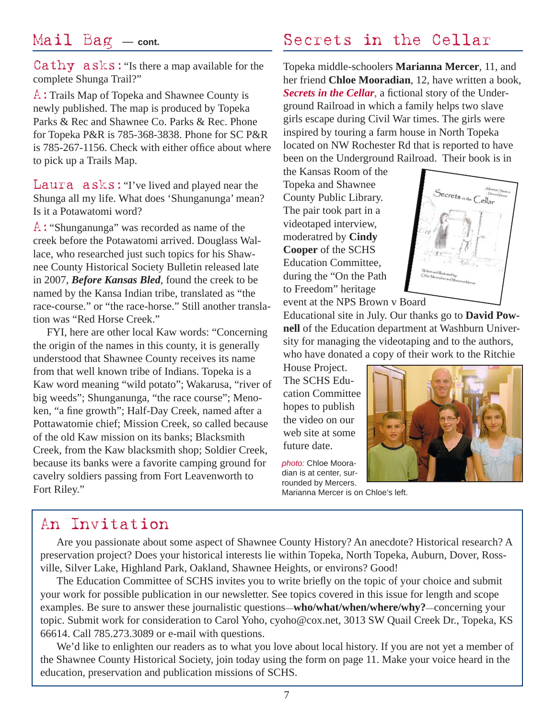### Mail Bag — **cont.**

Cathy asks:"Is there a map available for the complete Shunga Trail?"

A:Trails Map of Topeka and Shawnee County is newly published. The map is produced by Topeka Parks & Rec and Shawnee Co. Parks & Rec. Phone for Topeka P&R is 785-368-3838. Phone for SC P&R is 785-267-1156. Check with either office about where to pick up a Trails Map.

Laura  $a$ sks: "I've lived and played near the Shunga all my life. What does 'Shunganunga' mean? Is it a Potawatomi word?

A:"Shunganunga" was recorded as name of the creek before the Potawatomi arrived. Douglass Wallace, who researched just such topics for his Shawnee County Historical Society Bulletin released late in 2007, *Before Kansas Bled*, found the creek to be named by the Kansa Indian tribe, translated as "the race-course." or "the race-horse." Still another translation was "Red Horse Creek."

 FYI, here are other local Kaw words: "Concerning the origin of the names in this county, it is generally understood that Shawnee County receives its name from that well known tribe of Indians. Topeka is a Kaw word meaning "wild potato"; Wakarusa, "river of big weeds"; Shunganunga, "the race course"; Menoken, "a fine growth"; Half-Day Creek, named after a Pottawatomie chief; Mission Creek, so called because of the old Kaw mission on its banks; Blacksmith Creek, from the Kaw blacksmith shop; Soldier Creek, because its banks were a favorite camping ground for cavelry soldiers passing from Fort Leavenworth to Fort Riley."

## Secrets in the Cellar

Topeka middle-schoolers **Marianna Mercer**, 11, and her friend **Chloe Mooradian**, 12, have written a book, **Secrets in the Cellar**, a fictional story of the Underground Railroad in which a family helps two slave girls escape during Civil War times. The girls were inspired by touring a farm house in North Topeka located on NW Rochester Rd that is reported to have been on the Underground Railroad. Their book is in

the Kansas Room of the Topeka and Shawnee County Public Library. The pair took part in a videotaped interview, moderatred by **Cindy Cooper** of the SCHS Education Committee, during the "On the Path to Freedom" heritage event at the NPS Brown v Board



Educational site in July. Our thanks go to **David Pownell** of the Education department at Washburn University for managing the videotaping and to the authors, who have donated a copy of their work to the Ritchie

House Project. The SCHS Education Committee hopes to publish the video on our web site at some future date.

*photo:* Chloe Mooradian is at center, surrounded by Mercers.



Marianna Mercer is on Chloe's left.

### An Invitation

Are you passionate about some aspect of Shawnee County History? An anecdote? Historical research? A preservation project? Does your historical interests lie within Topeka, North Topeka, Auburn, Dover, Rossville, Silver Lake, Highland Park, Oakland, Shawnee Heights, or environs? Good!

The Education Committee of SCHS invites you to write briefly on the topic of your choice and submit your work for possible publication in our newsletter. See topics covered in this issue for length and scope examples. Be sure to answer these journalistic questions—**who/what/when/where/why?**—concerning your topic. Submit work for consideration to Carol Yoho, cyoho@cox.net, 3013 SW Quail Creek Dr., Topeka, KS 66614. Call 785.273.3089 or e-mail with questions.

We'd like to enlighten our readers as to what you love about local history. If you are not yet a member of the Shawnee County Historical Society, join today using the form on page 11. Make your voice heard in the education, preservation and publication missions of SCHS.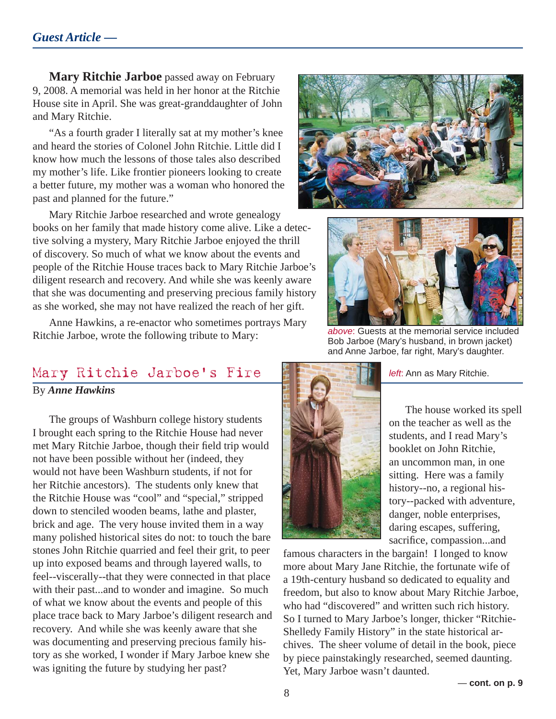**Mary Ritchie Jarboe** passed away on February 9, 2008. A memorial was held in her honor at the Ritchie House site in April. She was great-granddaughter of John and Mary Ritchie.

"As a fourth grader I literally sat at my mother's knee and heard the stories of Colonel John Ritchie. Little did I know how much the lessons of those tales also described my mother's life. Like frontier pioneers looking to create a better future, my mother was a woman who honored the past and planned for the future."

Mary Ritchie Jarboe researched and wrote genealogy books on her family that made history come alive. Like a detective solving a mystery, Mary Ritchie Jarboe enjoyed the thrill of discovery. So much of what we know about the events and people of the Ritchie House traces back to Mary Ritchie Jarboe's diligent research and recovery. And while she was keenly aware that she was documenting and preserving precious family history as she worked, she may not have realized the reach of her gift.

Anne Hawkins, a re-enactor who sometimes portrays Mary Ritchie Jarboe, wrote the following tribute to Mary:





*above*: Guests at the memorial service included Bob Jarboe (Mary's husband, in brown jacket) and Anne Jarboe, far right, Mary's daughter.

### Mary Ritchie Jarboe's Fire By *Anne Hawkins*

The groups of Washburn college history students I brought each spring to the Ritchie House had never met Mary Ritchie Jarboe, though their field trip would not have been possible without her (indeed, they would not have been Washburn students, if not for her Ritchie ancestors). The students only knew that the Ritchie House was "cool" and "special," stripped down to stenciled wooden beams, lathe and plaster, brick and age. The very house invited them in a way many polished historical sites do not: to touch the bare stones John Ritchie quarried and feel their grit, to peer up into exposed beams and through layered walls, to feel--viscerally--that they were connected in that place with their past...and to wonder and imagine. So much of what we know about the events and people of this place trace back to Mary Jarboe's diligent research and recovery. And while she was keenly aware that she was documenting and preserving precious family history as she worked, I wonder if Mary Jarboe knew she was igniting the future by studying her past?



*left*: Ann as Mary Ritchie.

The house worked its spell on the teacher as well as the students, and I read Mary's booklet on John Ritchie, an uncommon man, in one sitting. Here was a family history--no, a regional history--packed with adventure, danger, noble enterprises, daring escapes, suffering, sacrifice, compassion...and

famous characters in the bargain! I longed to know more about Mary Jane Ritchie, the fortunate wife of a 19th-century husband so dedicated to equality and freedom, but also to know about Mary Ritchie Jarboe, who had "discovered" and written such rich history. So I turned to Mary Jarboe's longer, thicker "Ritchie-Shelledy Family History" in the state historical archives. The sheer volume of detail in the book, piece by piece painstakingly researched, seemed daunting. Yet, Mary Jarboe wasn't daunted.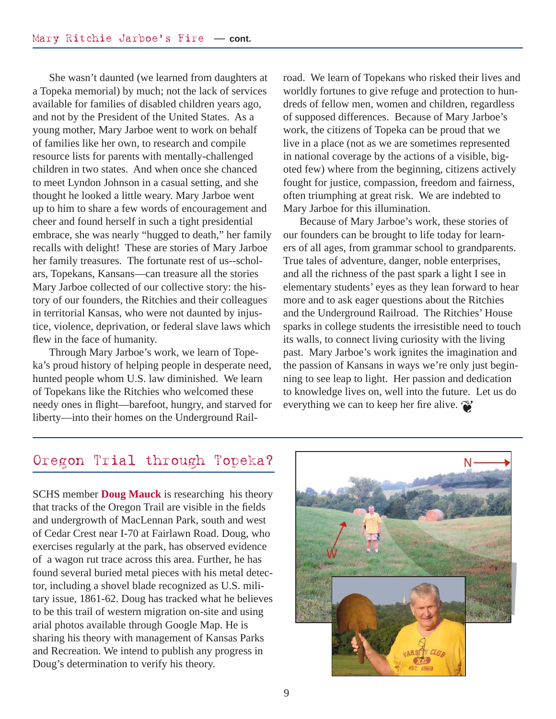She wasn't daunted (we learned from daughters at a Topeka memorial) by much; not the lack of services available for families of disabled children years ago, and not by the President of the United States. As a young mother, Mary Jarboe went to work on behalf of families like her own, to research and compile resource lists for parents with mentally-challenged children in two states. And when once she chanced to meet Lyndon Johnson in a casual setting, and she thought he looked a little weary. Mary Jarboe went up to him to share a few words of encouragement and cheer and found herself in such a tight presidential embrace, she was nearly "hugged to death," her family recalls with delight! These are stories of Mary Jarboe her family treasures. The fortunate rest of us--scholars, Topekans, Kansans—can treasure all the stories Mary Jarboe collected of our collective story: the history of our founders, the Ritchies and their colleagues in territorial Kansas, who were not daunted by injustice, violence, deprivation, or federal slave laws which flew in the face of humanity.

Through Mary Jarboe's work, we learn of Topeka's proud history of helping people in desperate need, hunted people whom U.S. law diminished. We learn of Topekans like the Ritchies who welcomed these needy ones in flight—barefoot, hungry, and starved for liberty—into their homes on the Underground Railroad. We learn of Topekans who risked their lives and worldly fortunes to give refuge and protection to hundreds of fellow men, women and children, regardless of supposed differences. Because of Mary Jarboe's work, the citizens of Topeka can be proud that we live in a place (not as we are sometimes represented in national coverage by the actions of a visible, bigoted few) where from the beginning, citizens actively fought for justice, compassion, freedom and fairness, often triumphing at great risk. We are indebted to Mary Jarboe for this illumination.

Because of Mary Jarboe's work, these stories of our founders can be brought to life today for learners of all ages, from grammar school to grandparents. True tales of adventure, danger, noble enterprises, and all the richness of the past spark a light I see in elementary students' eyes as they lean forward to hear more and to ask eager questions about the Ritchies and the Underground Railroad. The Ritchies' House sparks in college students the irresistible need to touch its walls, to connect living curiosity with the living past. Mary Jarboe's work ignites the imagination and the passion of Kansans in ways we're only just beginning to see leap to light. Her passion and dedication to knowledge lives on, well into the future. Let us do everything we can to keep her fire alive.

### Oregon Trial through Topeka?

SCHS member **Doug Mauck** is researching his theory that tracks of the Oregon Trail are visible in the fields and undergrowth of MacLennan Park, south and west of Cedar Crest near I-70 at Fairlawn Road. Doug, who exercises regularly at the park, has observed evidence of a wagon rut trace across this area. Further, he has found several buried metal pieces with his metal detector, including a shovel blade recognized as U.S. military issue, 1861-62. Doug has tracked what he believes to be this trail of western migration on-site and using arial photos available through Google Map. He is sharing his theory with management of Kansas Parks and Recreation. We intend to publish any progress in Doug's determination to verify his theory.

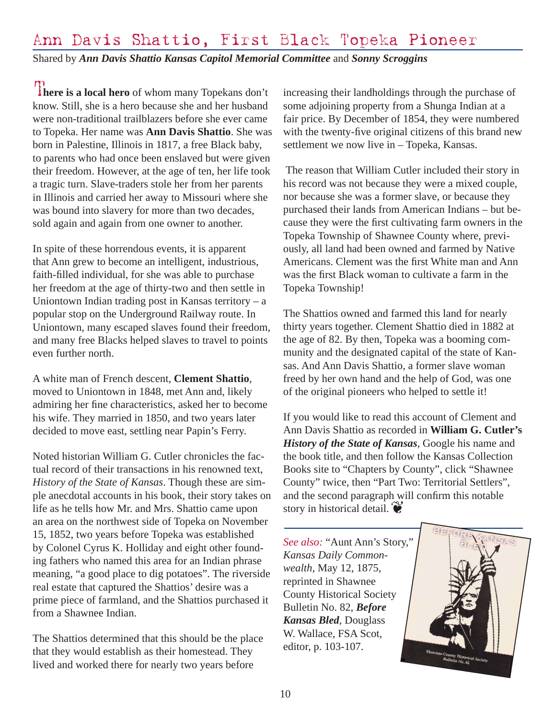# Ann Davis Shattio, First Black Topeka Pioneer

Shared by *Ann Davis Shattio Kansas Capitol Memorial Committee* and *Sonny Scroggins*

There is a local hero of whom many Topekans don't know. Still, she is a hero because she and her husband were non-traditional trailblazers before she ever came to Topeka. Her name was **Ann Davis Shattio**. She was born in Palestine, Illinois in 1817, a free Black baby, to parents who had once been enslaved but were given their freedom. However, at the age of ten, her life took a tragic turn. Slave-traders stole her from her parents in Illinois and carried her away to Missouri where she was bound into slavery for more than two decades, sold again and again from one owner to another.

In spite of these horrendous events, it is apparent that Ann grew to become an intelligent, industrious, faith-filled individual, for she was able to purchase her freedom at the age of thirty-two and then settle in Uniontown Indian trading post in Kansas territory  $-$  a popular stop on the Underground Railway route. In Uniontown, many escaped slaves found their freedom, and many free Blacks helped slaves to travel to points even further north.

A white man of French descent, **Clement Shattio**, moved to Uniontown in 1848, met Ann and, likely admiring her fine characteristics, asked her to become his wife. They married in 1850, and two years later decided to move east, settling near Papin's Ferry.

Noted historian William G. Cutler chronicles the factual record of their transactions in his renowned text, *History of the State of Kansas*. Though these are simple anecdotal accounts in his book, their story takes on life as he tells how Mr. and Mrs. Shattio came upon an area on the northwest side of Topeka on November 15, 1852, two years before Topeka was established by Colonel Cyrus K. Holliday and eight other founding fathers who named this area for an Indian phrase meaning, "a good place to dig potatoes". The riverside real estate that captured the Shattios' desire was a prime piece of farmland, and the Shattios purchased it from a Shawnee Indian.

The Shattios determined that this should be the place that they would establish as their homestead. They lived and worked there for nearly two years before

increasing their landholdings through the purchase of some adjoining property from a Shunga Indian at a fair price. By December of 1854, they were numbered with the twenty-five original citizens of this brand new settlement we now live in – Topeka, Kansas.

 The reason that William Cutler included their story in his record was not because they were a mixed couple, nor because she was a former slave, or because they purchased their lands from American Indians – but because they were the first cultivating farm owners in the Topeka Township of Shawnee County where, previously, all land had been owned and farmed by Native Americans. Clement was the first White man and Ann was the first Black woman to cultivate a farm in the Topeka Township!

The Shattios owned and farmed this land for nearly thirty years together. Clement Shattio died in 1882 at the age of 82. By then, Topeka was a booming community and the designated capital of the state of Kansas. And Ann Davis Shattio, a former slave woman freed by her own hand and the help of God, was one of the original pioneers who helped to settle it!

story in historical detail. If you would like to read this account of Clement and Ann Davis Shattio as recorded in **William G. Cutler's**  *History of the State of Kansas*, Google his name and the book title, and then follow the Kansas Collection Books site to "Chapters by County", click "Shawnee County" twice, then "Part Two: Territorial Settlers", and the second paragraph will confirm this notable

*See also:* "Aunt Ann's Story," *Kansas Daily Commonwealth*, May 12, 1875, reprinted in Shawnee County Historical Society Bulletin No. 82, *Before Kansas Bled*, Douglass W. Wallace, FSA Scot, editor, p. 103-107.

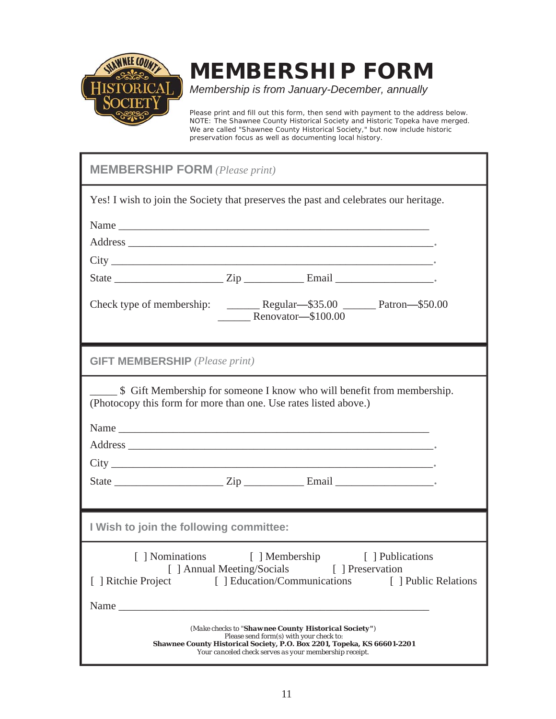

# **MEMBERSHIP FORM**

*Membership is from January-December, annually*

Please print and fill out this form, then send with payment to the address below. NOTE: The Shawnee County Historical Society and Historic Topeka have merged. We are called "Shawnee County Historical Society," but now include historic preservation focus as well as documenting local history.

| <b>MEMBERSHIP FORM</b> (Please print)                                                                                                                                                                                                                       |                    |  |  |  |  |
|-------------------------------------------------------------------------------------------------------------------------------------------------------------------------------------------------------------------------------------------------------------|--------------------|--|--|--|--|
| Yes! I wish to join the Society that preserves the past and celebrates our heritage.                                                                                                                                                                        |                    |  |  |  |  |
|                                                                                                                                                                                                                                                             |                    |  |  |  |  |
|                                                                                                                                                                                                                                                             |                    |  |  |  |  |
|                                                                                                                                                                                                                                                             |                    |  |  |  |  |
|                                                                                                                                                                                                                                                             |                    |  |  |  |  |
|                                                                                                                                                                                                                                                             | Renovator-\$100.00 |  |  |  |  |
| <b>GIFT MEMBERSHIP</b> (Please print)                                                                                                                                                                                                                       |                    |  |  |  |  |
| \$ Gift Membership for someone I know who will benefit from membership.<br>(Photocopy this form for more than one. Use rates listed above.)                                                                                                                 |                    |  |  |  |  |
|                                                                                                                                                                                                                                                             |                    |  |  |  |  |
|                                                                                                                                                                                                                                                             |                    |  |  |  |  |
|                                                                                                                                                                                                                                                             |                    |  |  |  |  |
|                                                                                                                                                                                                                                                             |                    |  |  |  |  |
| I Wish to join the following committee:                                                                                                                                                                                                                     |                    |  |  |  |  |
| [ ] Nominations<br>[ ] Membership<br>[ ] Publications<br>[ ] Annual Meeting/Socials<br>[ ] Preservation<br>[ ] Education/Communications<br>[ ] Ritchie Project<br>[ ] Public Relations<br>Name<br><u> 1989 - John Stein, Amerikaansk politiker (* 1908)</u> |                    |  |  |  |  |
| (Make checks to "Shawnee County Historical Society")<br>Please send form(s) with your check to:<br>Shawnee County Historical Society, P.O. Box 2201, Topeka, KS 66601-2201<br>Your canceled check serves as your membership receipt.                        |                    |  |  |  |  |